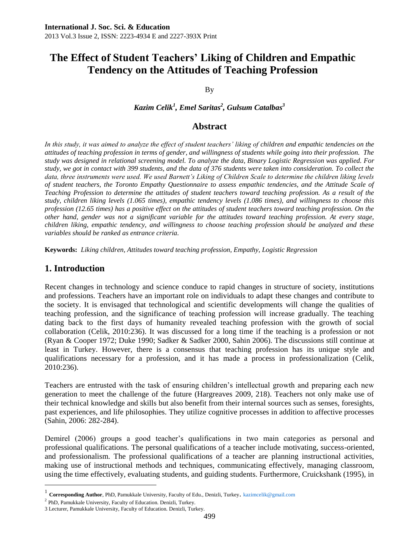# **The Effect of Student Teachers' Liking of Children and Empathic Tendency on the Attitudes of Teaching Profession**

By

*Kazim Celik<sup>1</sup> , Emel Saritas<sup>2</sup> , Gulsum Catalbas<sup>3</sup>*

# **Abstract**

*In this study, it was aimed to analyze the effect of student teachers' liking of children and empathic tendencies on the attitudes of teaching profession in terms of gender, and willingness of students while going into their profession. The study was designed in relational screening model. To analyze the data, Binary Logistic Regression was applied. For study, we got in contact with 399 students, and the data of 376 students were taken into consideration. To collect the data, three instruments were used. We used Barnett's Liking of Children Scale to determine the children liking levels of student teachers, the Toronto Empathy Questionnaire to assess empathic tendencies, and the Attitude Scale of Teaching Profession to determine the attitudes of student teachers toward teaching profession. As a result of the study, children liking levels (1.065 times), empathic tendency levels (1.086 times), and willingness to choose this profession (12.65 times) has a positive effect on the attitudes of student teachers toward teaching profession. On the other hand, gender was not a significant variable for the attitudes toward teaching profession. At every stage, children liking, empathic tendency, and willingness to choose teaching profession should be analyzed and these variables should be ranked as entrance criteria.*

**Keywords:** *Liking children, Attitudes toward teaching profession, Empathy, Logistic Regression*

# **1. Introduction**

 $\overline{a}$ 

Recent changes in technology and science conduce to rapid changes in structure of society, institutions and professions. Teachers have an important role on individuals to adapt these changes and contribute to the society. It is envisaged that technological and scientific developments will change the qualities of teaching profession, and the significance of teaching profession will increase gradually. The teaching dating back to the first days of humanity revealed teaching profession with the growth of social collaboration (Celik, 2010:236). It was discussed for a long time if the teaching is a profession or not (Ryan & Cooper 1972; Duke 1990; Sadker & Sadker 2000, Sahin 2006). The discussions still continue at least in Turkey. However, there is a consensus that teaching profession has its unique style and qualifications necessary for a profession, and it has made a process in professionalization (Celik, 2010:236).

Teachers are entrusted with the task of ensuring children's intellectual growth and preparing each new generation to meet the challenge of the future (Hargreaves 2009, 218). Teachers not only make use of their technical knowledge and skills but also benefit from their internal sources such as senses, foresights, past experiences, and life philosophies. They utilize cognitive processes in addition to affective processes (Sahin, 2006: 282-284).

Demirel (2006) groups a good teacher's qualifications in two main categories as personal and professional qualifications. The personal qualifications of a teacher include motivating, success-oriented, and professionalism. The professional qualifications of a teacher are planning instructional activities, making use of instructional methods and techniques, communicating effectively, managing classroom, using the time effectively, evaluating students, and guiding students. Furthermore, Cruickshank (1995), in

<sup>1</sup> **Corresponding Author**, PhD, Pamukkale University, Faculty of Edu., Denizli, Turkey. [kazimcelik@gmail.com](mailto:kazimcelik@gmail.com)

<sup>&</sup>lt;sup>2</sup> PhD, Pamukkale University, Faculty of Education. Denizli, Turkey.

<sup>3</sup> Lecturer, Pamukkale University, Faculty of Education. Denizli, Turkey.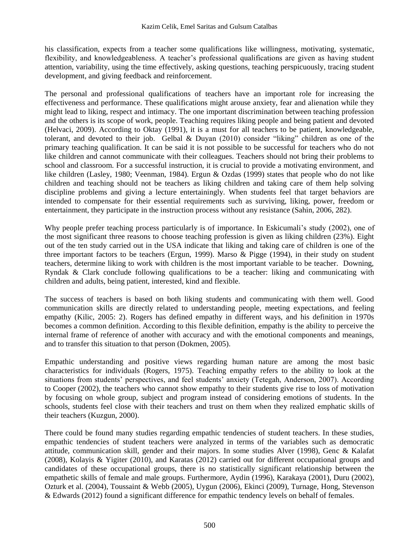his classification, expects from a teacher some qualifications like willingness, motivating, systematic, flexibility, and knowledgeableness. A teacher's professional qualifications are given as having student attention, variability, using the time effectively, asking questions, teaching perspicuously, tracing student development, and giving feedback and reinforcement.

The personal and professional qualifications of teachers have an important role for increasing the effectiveness and performance. These qualifications might arouse anxiety, fear and alienation while they might lead to liking, respect and intimacy. The one important discrimination between teaching profession and the others is its scope of work, people. Teaching requires liking people and being patient and devoted (Helvaci, 2009). According to Oktay (1991), it is a must for all teachers to be patient, knowledgeable, tolerant, and devoted to their job. Gelbal & Duyan (2010) consider "liking" children as one of the primary teaching qualification. It can be said it is not possible to be successful for teachers who do not like children and cannot communicate with their colleagues. Teachers should not bring their problems to school and classroom. For a successful instruction, it is crucial to provide a motivating environment, and like children (Lasley, 1980; Veenman, 1984). Ergun & Ozdas (1999) states that people who do not like children and teaching should not be teachers as liking children and taking care of them help solving discipline problems and giving a lecture entertainingly. When students feel that target behaviors are intended to compensate for their essential requirements such as surviving, liking, power, freedom or entertainment, they participate in the instruction process without any resistance (Sahin, 2006, 282).

Why people prefer teaching process particularly is of importance. In Eskicumali's study (2002), one of the most significant three reasons to choose teaching profession is given as liking children (23%). Eight out of the ten study carried out in the USA indicate that liking and taking care of children is one of the three important factors to be teachers (Ergun, 1999). Marso & Pigge (1994), in their study on student teachers, determine liking to work with children is the most important variable to be teacher. Downing, Ryndak & Clark conclude following qualifications to be a teacher: liking and communicating with children and adults, being patient, interested, kind and flexible.

The success of teachers is based on both liking students and communicating with them well. Good communication skills are directly related to understanding people, meeting expectations, and feeling empathy (Kilic, 2005: 2). Rogers has defined empathy in different ways, and his definition in 1970s becomes a common definition. According to this flexible definition, empathy is the ability to perceive the internal frame of reference of another with accuracy and with the emotional components and meanings, and to transfer this situation to that person (Dokmen, 2005).

Empathic understanding and positive views regarding human nature are among the most basic characteristics for individuals (Rogers, 1975). Teaching empathy refers to the ability to look at the situations from students' perspectives, and feel students' anxiety (Tetegah, Anderson, 2007). According to Cooper (2002), the teachers who cannot show empathy to their students give rise to loss of motivation by focusing on whole group, subject and program instead of considering emotions of students. In the schools, students feel close with their teachers and trust on them when they realized emphatic skills of their teachers (Kuzgun, 2000).

There could be found many studies regarding empathic tendencies of student teachers. In these studies, empathic tendencies of student teachers were analyzed in terms of the variables such as democratic attitude, communication skill, gender and their majors. In some studies Alver (1998), Genc & Kalafat (2008), Kolayis & Yigiter (2010), and Karatas (2012) carried out for different occupational groups and candidates of these occupational groups, there is no statistically significant relationship between the empathetic skills of female and male groups. Furthermore, Aydin (1996), Karakaya (2001), Duru (2002), Ozturk et al. (2004), Toussaint & Webb (2005), Uygun (2006), Ekinci (2009), Turnage, Hong, Stevenson & Edwards (2012) found a significant difference for empathic tendency levels on behalf of females.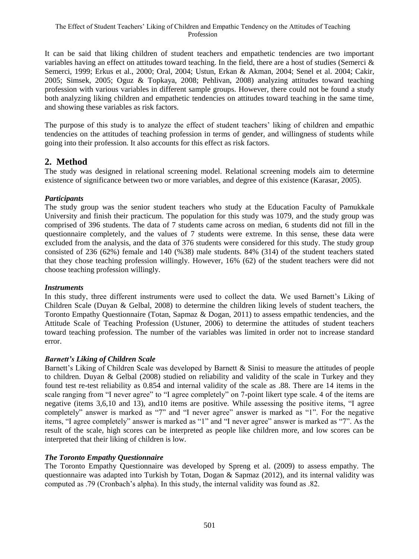It can be said that liking children of student teachers and empathetic tendencies are two important variables having an effect on attitudes toward teaching. In the field, there are a host of studies (Semerci  $\&$ Semerci, 1999; Erkus et al., 2000; Oral, 2004; Ustun, Erkan & Akman, 2004; Senel et al. 2004; Cakir, 2005; Simsek, 2005; Oguz & Topkaya, 2008; Pehlivan, 2008) analyzing attitudes toward teaching profession with various variables in different sample groups. However, there could not be found a study both analyzing liking children and empathetic tendencies on attitudes toward teaching in the same time, and showing these variables as risk factors.

The purpose of this study is to analyze the effect of student teachers' liking of children and empathic tendencies on the attitudes of teaching profession in terms of gender, and willingness of students while going into their profession. It also accounts for this effect as risk factors.

# **2. Method**

The study was designed in relational screening model. Relational screening models aim to determine existence of significance between two or more variables, and degree of this existence (Karasar, 2005).

# *Participants*

The study group was the senior student teachers who study at the Education Faculty of Pamukkale University and finish their practicum. The population for this study was 1079, and the study group was comprised of 396 students. The data of 7 students came across on median, 6 students did not fill in the questionnaire completely, and the values of 7 students were extreme. In this sense, these data were excluded from the analysis, and the data of 376 students were considered for this study. The study group consisted of 236 (62%) female and 140 (%38) male students. 84% (314) of the student teachers stated that they chose teaching profession willingly. However, 16% (62) of the student teachers were did not choose teaching profession willingly.

# *Instruments*

In this study, three different instruments were used to collect the data. We used Barnett's Liking of Children Scale (Duyan & Gelbal, 2008) to determine the children liking levels of student teachers, the Toronto Empathy Questionnaire (Totan, Sapmaz & Dogan, 2011) to assess empathic tendencies, and the Attitude Scale of Teaching Profession (Ustuner, 2006) to determine the attitudes of student teachers toward teaching profession. The number of the variables was limited in order not to increase standard error.

# *Barnett's Liking of Children Scale*

Barnett's Liking of Children Scale was developed by Barnett & Sinisi to measure the attitudes of people to children. Duyan & Gelbal (2008) studied on reliability and validity of the scale in Turkey and they found test re-test reliability as 0.854 and internal validity of the scale as .88. There are 14 items in the scale ranging from "I never agree" to "I agree completely" on 7-point likert type scale. 4 of the items are negative (items 3,6,10 and 13), and10 items are positive. While assessing the positive items, "I agree completely" answer is marked as "7" and "I never agree" answer is marked as "1". For the negative items, "I agree completely" answer is marked as "1" and "I never agree" answer is marked as "7". As the result of the scale, high scores can be interpreted as people like children more, and low scores can be interpreted that their liking of children is low.

# *The Toronto Empathy Questionnaire*

The Toronto Empathy Questionnaire was developed by Spreng et al. (2009) to assess empathy. The questionnaire was adapted into Turkish by Totan, Dogan & Sapmaz (2012), and its internal validity was computed as .79 (Cronbach's alpha). In this study, the internal validity was found as .82.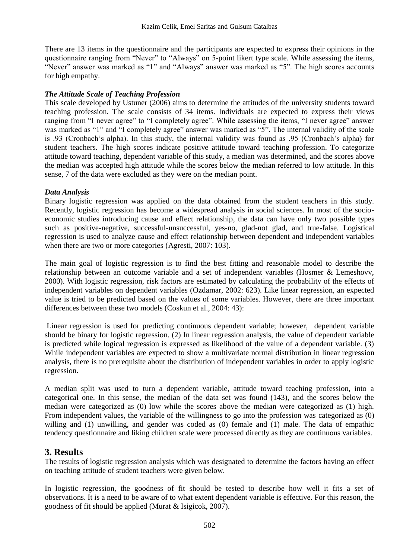There are 13 items in the questionnaire and the participants are expected to express their opinions in the questionnaire ranging from "Never" to "Always" on 5-point likert type scale. While assessing the items, "Never" answer was marked as "1" and "Always" answer was marked as "5". The high scores accounts for high empathy.

#### *The Attitude Scale of Teaching Profession*

This scale developed by Ustuner (2006) aims to determine the attitudes of the university students toward teaching profession. The scale consists of 34 items. Individuals are expected to express their views ranging from "I never agree" to "I completely agree". While assessing the items, "I never agree" answer was marked as "1" and "I completely agree" answer was marked as "5". The internal validity of the scale is .93 (Cronbach's alpha). In this study, the internal validity was found as .95 (Cronbach's alpha) for student teachers. The high scores indicate positive attitude toward teaching profession. To categorize attitude toward teaching, dependent variable of this study, a median was determined, and the scores above the median was accepted high attitude while the scores below the median referred to low attitude. In this sense, 7 of the data were excluded as they were on the median point.

#### *Data Analysis*

Binary logistic regression was applied on the data obtained from the student teachers in this study. Recently, logistic regression has become a widespread analysis in social sciences. In most of the socioeconomic studies introducing cause and effect relationship, the data can have only two possible types such as positive-negative, successful-unsuccessful, yes-no, glad-not glad, and true-false. Logistical regression is used to analyze cause and effect relationship between dependent and independent variables when there are two or more categories (Agresti, 2007: 103).

The main goal of logistic regression is to find the best fitting and reasonable model to describe the relationship between an outcome variable and a set of independent variables (Hosmer & Lemeshovv, 2000). With logistic regression, risk factors are estimated by calculating the probability of the effects of independent variables on dependent variables (Ozdamar, 2002: 623). Like linear regression, an expected value is tried to be predicted based on the values of some variables. However, there are three important differences between these two models (Coskun et al., 2004: 43):

Linear regression is used for predicting continuous dependent variable; however, dependent variable should be binary for logistic regression. (2) In linear regression analysis, the value of dependent variable is predicted while logical regression is expressed as likelihood of the value of a dependent variable. (3) While independent variables are expected to show a multivariate normal distribution in linear regression analysis, there is no prerequisite about the distribution of independent variables in order to apply logistic regression.

A median split was used to turn a dependent variable, attitude toward teaching profession, into a categorical one. In this sense, the median of the data set was found (143), and the scores below the median were categorized as (0) low while the scores above the median were categorized as (1) high. From independent values, the variable of the willingness to go into the profession was categorized as (0) willing and (1) unwilling, and gender was coded as (0) female and (1) male. The data of empathic tendency questionnaire and liking children scale were processed directly as they are continuous variables.

# **3. Results**

The results of logistic regression analysis which was designated to determine the factors having an effect on teaching attitude of student teachers were given below.

In logistic regression, the goodness of fit should be tested to describe how well it fits a set of observations. It is a need to be aware of to what extent dependent variable is effective. For this reason, the goodness of fit should be applied (Murat & Isigicok, 2007).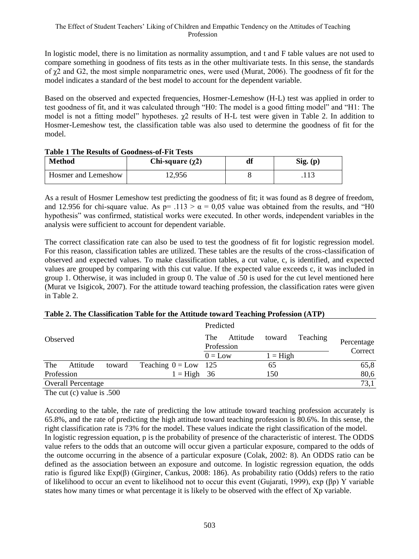In logistic model, there is no limitation as normality assumption, and t and F table values are not used to compare something in goodness of fits tests as in the other multivariate tests. In this sense, the standards of  $\gamma$ 2 and G2, the most simple nonparametric ones, were used (Murat, 2006). The goodness of fit for the model indicates a standard of the best model to account for the dependent variable.

Based on the observed and expected frequencies, Hosmer-Lemeshow (H-L) test was applied in order to test goodness of fit, and it was calculated through "H0: The model is a good fitting model" and "H1: The model is not a fitting model" hypotheses.  $\chi^2$  results of H-L test were given in Table 2. In addition to Hosmer-Lemeshow test, the classification table was also used to determine the goodness of fit for the model.

| Method              | Chi-square $(\chi^2)$ | df | Sig. (p) |
|---------------------|-----------------------|----|----------|
| Hosmer and Lemeshow | 12.956                |    |          |

#### **Table 1 The Results of Goodness-of-Fit Tests**

As a result of Hosmer Lemeshow test predicting the goodness of fit; it was found as 8 degree of freedom, and 12.956 for chi-square value. As  $p = 0.113 > \alpha = 0.05$  value was obtained from the results, and "H0 hypothesis" was confirmed, statistical works were executed. In other words, independent variables in the analysis were sufficient to account for dependent variable.

The correct classification rate can also be used to test the goodness of fit for logistic regression model. For this reason, classification tables are utilized. These tables are the results of the cross-classification of observed and expected values. To make classification tables, a cut value, c, is identified, and expected values are grouped by comparing with this cut value. If the expected value exceeds c, it was included in group 1. Otherwise, it was included in group 0. The value of .50 is used for the cut level mentioned here (Murat ve Isigicok, 2007). For the attitude toward teaching profession, the classification rates were given in Table 2.

| The<br>Attitude<br>Teaching<br>toward<br>Observed<br>Profession<br>Correct<br>$0 = Low$<br>$1 = High$ |  |  |  |  | Predicted |  |            |  |      |
|-------------------------------------------------------------------------------------------------------|--|--|--|--|-----------|--|------------|--|------|
|                                                                                                       |  |  |  |  |           |  | Percentage |  |      |
|                                                                                                       |  |  |  |  |           |  |            |  |      |
| The<br>Teaching $0 = Low$ 125<br>Attitude<br>toward<br>65                                             |  |  |  |  |           |  |            |  | 65,8 |
| Profession<br>$1 = High \quad 36$<br>150                                                              |  |  |  |  |           |  |            |  | 80,6 |
| <b>Overall Percentage</b>                                                                             |  |  |  |  |           |  |            |  | 73,1 |

# **Table 2. The Classification Table for the Attitude toward Teaching Profession (ATP)**

The cut (c) value is .500

According to the table, the rate of predicting the low attitude toward teaching profession accurately is 65.8%, and the rate of predicting the high attitude toward teaching profession is 80.6%. In this sense, the right classification rate is 73% for the model. These values indicate the right classification of the model. In logistic regression equation, p is the probability of presence of the characteristic of interest. The ODDS value refers to the odds that an outcome will occur given a particular exposure, compared to the odds of the outcome occurring in the absence of a particular exposure (Colak, 2002: 8). An ODDS ratio can be defined as the association between an exposure and outcome. In logistic regression equation, the odds ratio is figured like Exp(β) (Girginer, Cankus, 2008: 186). As probability ratio (Odds) refers to the ratio of likelihood to occur an event to likelihood not to occur this event (Gujarati, 1999), exp (βp) Y variable states how many times or what percentage it is likely to be observed with the effect of Xp variable.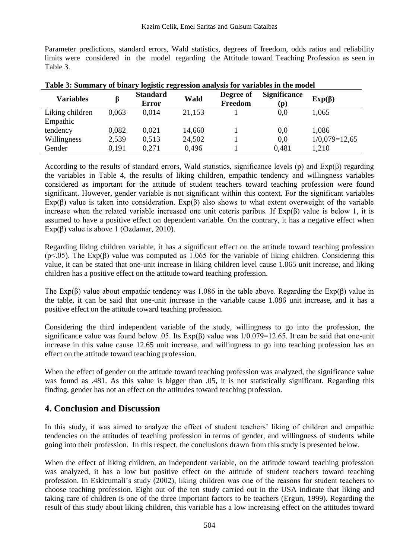Parameter predictions, standard errors, Wald statistics, degrees of freedom, odds ratios and reliability limits were considered in the model regarding the Attitude toward Teaching Profession as seen in Table 3.

| Table 5. Summary of binary togistic regression analysis for variables in the model |       |                          |        |                      |                            |                 |
|------------------------------------------------------------------------------------|-------|--------------------------|--------|----------------------|----------------------------|-----------------|
| <b>Variables</b>                                                                   |       | <b>Standard</b><br>Error | Wald   | Degree of<br>Freedom | <b>Significance</b><br>(p) | $Exp(\beta)$    |
| Liking children                                                                    | 0.063 | 0.014                    | 21.153 |                      | 0.0                        | 1.065           |
| Empathic                                                                           |       |                          |        |                      |                            |                 |
| tendency                                                                           | 0.082 | 0.021                    | 14.660 |                      | 0.0                        | 1.086           |
| Willingness                                                                        | 2.539 | 0.513                    | 24,502 |                      | 0,0                        | $1/0,079=12,65$ |
| Gender                                                                             | 0.191 | 0.271                    | 0.496  |                      | 0,481                      | 1.210           |

**Table 3: Summary of binary logistic regression analysis for variables in the model**

According to the results of standard errors, Wald statistics, significance levels (p) and  $Exp(\beta)$  regarding the variables in Table 4, the results of liking children, empathic tendency and willingness variables considered as important for the attitude of student teachers toward teaching profession were found significant. However, gender variable is not significant within this context. For the significant variables Exp(β) value is taken into consideration. Exp(β) also shows to what extent overweight of the variable increase when the related variable increased one unit ceteris paribus. If  $Exp(\beta)$  value is below 1, it is assumed to have a positive effect on dependent variable. On the contrary, it has a negative effect when Exp( $\beta$ ) value is above 1 (Ozdamar, 2010).

Regarding liking children variable, it has a significant effect on the attitude toward teaching profession  $(p<0.05)$ . The Exp( $\beta$ ) value was computed as 1.065 for the variable of liking children. Considering this value, it can be stated that one-unit increase in liking children level cause 1.065 unit increase, and liking children has a positive effect on the attitude toward teaching profession.

The Exp( $\beta$ ) value about empathic tendency was 1.086 in the table above. Regarding the Exp( $\beta$ ) value in the table, it can be said that one-unit increase in the variable cause 1.086 unit increase, and it has a positive effect on the attitude toward teaching profession.

Considering the third independent variable of the study, willingness to go into the profession, the significance value was found below .05. Its  $Exp(\beta)$  value was  $1/0.079=12.65$ . It can be said that one-unit increase in this value cause 12.65 unit increase, and willingness to go into teaching profession has an effect on the attitude toward teaching profession.

When the effect of gender on the attitude toward teaching profession was analyzed, the significance value was found as .481. As this value is bigger than .05, it is not statistically significant. Regarding this finding, gender has not an effect on the attitudes toward teaching profession.

# **4. Conclusion and Discussion**

In this study, it was aimed to analyze the effect of student teachers' liking of children and empathic tendencies on the attitudes of teaching profession in terms of gender, and willingness of students while going into their profession. In this respect, the conclusions drawn from this study is presented below.

When the effect of liking children, an independent variable, on the attitude toward teaching profession was analyzed, it has a low but positive effect on the attitude of student teachers toward teaching profession. In Eskicumali's study (2002), liking children was one of the reasons for student teachers to choose teaching profession. Eight out of the ten study carried out in the USA indicate that liking and taking care of children is one of the three important factors to be teachers (Ergun, 1999). Regarding the result of this study about liking children, this variable has a low increasing effect on the attitudes toward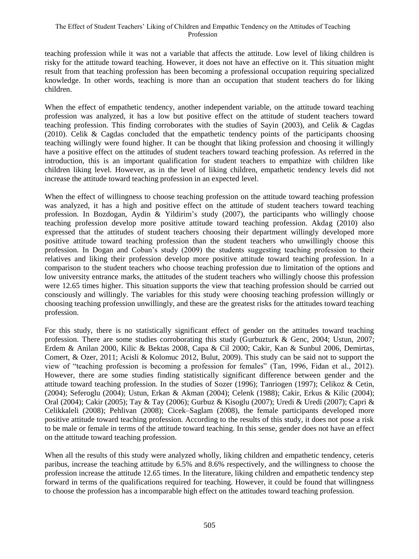teaching profession while it was not a variable that affects the attitude. Low level of liking children is risky for the attitude toward teaching. However, it does not have an effective on it. This situation might result from that teaching profession has been becoming a professional occupation requiring specialized knowledge. In other words, teaching is more than an occupation that student teachers do for liking children.

When the effect of empathetic tendency, another independent variable, on the attitude toward teaching profession was analyzed, it has a low but positive effect on the attitude of student teachers toward teaching profession. This finding corroborates with the studies of Sayin (2003), and Celik & Cagdas (2010). Celik & Cagdas concluded that the empathetic tendency points of the participants choosing teaching willingly were found higher. It can be thought that liking profession and choosing it willingly have a positive effect on the attitudes of student teachers toward teaching profession. As referred in the introduction, this is an important qualification for student teachers to empathize with children like children liking level. However, as in the level of liking children, empathetic tendency levels did not increase the attitude toward teaching profession in an expected level.

When the effect of willingness to choose teaching profession on the attitude toward teaching profession was analyzed, it has a high and positive effect on the attitude of student teachers toward teaching profession. In Bozdogan, Aydin & Yildirim's study (2007), the participants who willingly choose teaching profession develop more positive attitude toward teaching profession. Akdag (2010) also expressed that the attitudes of student teachers choosing their department willingly developed more positive attitude toward teaching profession than the student teachers who unwillingly choose this profession. In Dogan and Coban's study (2009) the students suggesting teaching profession to their relatives and liking their profession develop more positive attitude toward teaching profession. In a comparison to the student teachers who choose teaching profession due to limitation of the options and low university entrance marks, the attitudes of the student teachers who willingly choose this profession were 12.65 times higher. This situation supports the view that teaching profession should be carried out consciously and willingly. The variables for this study were choosing teaching profession willingly or choosing teaching profession unwillingly, and these are the greatest risks for the attitudes toward teaching profession.

For this study, there is no statistically significant effect of gender on the attitudes toward teaching profession. There are some studies corroborating this study (Gurbuzturk & Genc, 2004; Ustun, 2007; Erdem & Anilan 2000, Kilic & Bektas 2008, Capa & Cil 2000; Cakir, Kan & Sunbul 2006, Demirtas, Comert, & Ozer, 2011; Acisli & Kolomuc 2012, Bulut, 2009). This study can be said not to support the view of "teaching profession is becoming a profession for females" (Tan, 1996, Fidan et al., 2012). However, there are some studies finding statistically significant difference between gender and the attitude toward teaching profession. In the studies of Sozer (1996); Tanriogen (1997); Celikoz & Cetin, (2004); Seferoglu (2004); Ustun, Erkan & Akman (2004); Celenk (1988); Cakir, Erkus & Kilic (2004); Oral (2004); Cakir (2005); Tay & Tay (2006); Gurbuz & Kisoglu (2007); Uredi & Uredi (2007); Capri & Celikkaleli (2008); Pehlivan (2008); Cicek–Saglam (2008), the female participants developed more positive attitude toward teaching profession. According to the results of this study, it does not pose a risk to be male or female in terms of the attitude toward teaching. In this sense, gender does not have an effect on the attitude toward teaching profession.

When all the results of this study were analyzed wholly, liking children and empathetic tendency, ceteris paribus, increase the teaching attitude by 6.5% and 8.6% respectively, and the willingness to choose the profession increase the attitude 12.65 times. In the literature, liking children and empathetic tendency step forward in terms of the qualifications required for teaching. However, it could be found that willingness to choose the profession has a incomparable high effect on the attitudes toward teaching profession.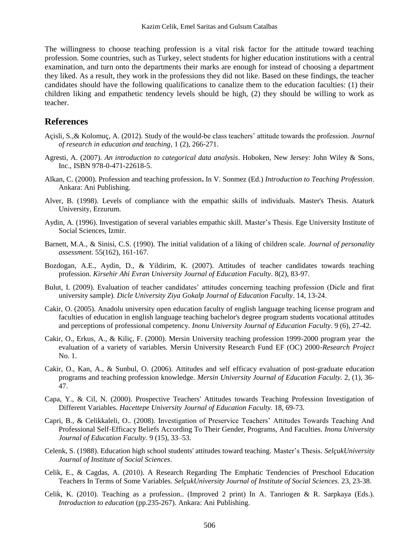The willingness to choose teaching profession is a vital risk factor for the attitude toward teaching profession. Some countries, such as Turkey, select students for higher education institutions with a central examination, and turn onto the departments their marks are enough for instead of choosing a department they liked. As a result, they work in the professions they did not like. Based on these findings, the teacher candidates should have the following qualifications to canalize them to the education faculties: (1) their children liking and empathetic tendency levels should be high, (2) they should be willing to work as teacher.

#### **References**

- Açisli, S.,& Kolomuç, A. (2012). Study of the would-be class teachers' attitude towards the profession. *Journal of research in education and teaching*, 1 (2), 266-271.
- Agresti, A. (2007). *An introduction to categorical data analysis*. Hoboken, New Jersey: John Wiley & Sons, Inc., ISBN 978-0-471-22618-5.
- Alkan, C. (2000). Profession and teaching profession**.** In V. Sonmez (Ed.) *Introduction to Teaching Profession*. Ankara: Ani Publishing.
- Alver, B. (1998). Levels of compliance with the empathic skills of individuals. Master's Thesis. Ataturk University, Erzurum.
- Aydin, A. (1996). Investigation of several variables empathic skill. Master's Thesis. Ege University Institute of Social Sciences, Izmir.
- Barnett, M.A., & Sinisi, C.S. (1990). The initial validation of a liking of children scale. *Journal of personality assessment.* 55(162), 161-167.
- Bozdogan, A.E., Aydin, D., & Yildirim, K. (2007). Attitudes of teacher candidates towards teaching profession. *Kirsehir Ahi Evran University Journal of Education Faculty*. 8(2), 83-97.
- Bulut, I. (2009). Evaluation of teacher candidates' attitudes concerning teaching profession (Dicle and firat university sample). *Dicle University Ziya Gokalp Journal of Education Faculty*. 14, 13-24.
- Cakir, O. (2005). Anadolu university open education faculty of english language teaching license program and faculties of education in english language teaching bachelor's degree program students vocational attitudes and perceptions of professional competency. *Inonu University Journal of Education Faculty*. 9 (6), 27-42.
- Cakir, O., Erkus, A., & Kiliç, F. (2000). Mersin University teaching profession 1999-2000 program year the evaluation of a variety of variables. Mersin University Research Fund EF (OC) 2000-*Research Project* No. 1.
- Cakir, O., Kan, A., & Sunbul, O. (2006). Attitudes and self efficacy evaluation of post-graduate education programs and teaching profession knowledge. *Mersin University Journal of Education Faculty.* 2, (1), 36- 47.
- Capa, Y., & Cil, N. (2000). Prospective Teachers' Attitudes towards Teaching Profession Investigation of Different Variables. *Hacettepe University Journal of Education Faculty.* 18, 69-73.
- Capri, B., & Celikkaleli, O.. (2008). Investigation of Preservice Teachers' Attitudes Towards Teaching And Professional Self-Efficacy Beliefs According To Their Gender, Programs, And Faculties. *Inonu University Journal of Education Faculty*. 9 (15), 33–53.
- Celenk, S. (1988). Education high school students' attitudes toward teaching. Master's Thesis. *SelçukUniversity Journal of Institute of Social Sciences*.
- Celik, E., & Cagdas, A. (2010). A Research Regarding The Emphatic Tendencies of Preschool Education Teachers In Terms of Some Variables. *SelçukUniversity Journal of Institute of Social Sciences*. 23, 23-38.
- Celik, K. (2010). Teaching as a profession.. (Improved 2 print) In A. Tanriogen & R. Sarpkaya (Eds.). *Introduction to education* (pp.235-267). Ankara: Ani Publishing.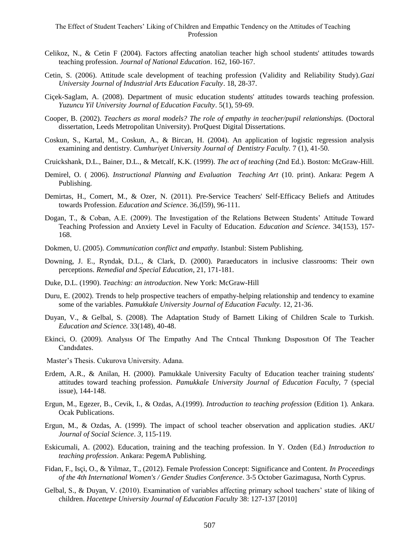- Celikoz, N., & Cetin F (2004). Factors affecting anatolian teacher high school students' attitudes towards teaching profession. *Journal of National Education*. 162, 160-167.
- Cetin, S. (2006). Attitude scale development of teaching profession (Validity and Reliability Study).*Gazi University Journal of Industrial Arts Education Faculty*. 18, 28-37.
- Ciçek-Saglam, A. (2008). Department of music education students' attitudes towards teaching profession. *Yuzuncu Yil University Journal of Education Faculty*. 5(1), 59-69.
- Cooper, B. (2002). *Teachers as moral models? The role of empathy in teacher/pupil relationships.* (Doctoral dissertation, Leeds Metropolitan University). ProQuest Digital Dissertations.
- Coskun, S., Kartal, M., Coskun, A., & Bircan, H. (2004). An application of logistic regression analysis examining and dentistry. *Cumhuriyet University Journal of Dentistry Faculty.* 7 (1), 41-50.
- Cruickshank, D.L., Bainer, D.L., & Metcalf, K.K. (1999). *The act of teaching* (2nd Ed.). Boston: McGraw-Hill.
- Demirel, O. ( 2006). *Instructional Planning and Evaluation Teaching Art* (10. print). Ankara: Pegem A Publishing.
- Demirtas, H., Comert, M., & Ozer, N. (2011). Pre-Service Teachers' Self-Efficacy Beliefs and Attitudes towards Profession. *Education and Science*. 36,(l59), 96-111.
- Dogan, T., & Coban, A.E. (2009). The Investigation of the Relations Between Students' Attitude Toward Teaching Profession and Anxiety Level in Faculty of Education. *Education and Science*. 34(153), 157- 168.
- Dokmen, U. (2005). *Communication conflict and empathy*. Istanbul: Sistem Publishing.
- Downing, J. E., Ryndak, D.L., & Clark, D. (2000). Paraeducators in inclusive classrooms: Their own perceptions. *Remedial and Special Education*, 21, 171-181.
- Duke, D.L. (1990). *Teaching: an introduction*. New York: McGraw-Hill
- Duru, E. (2002). Trends to help prospective teachers of empathy-helping relationship and tendency to examine some of the variables. *Pamukkale University Journal of Education Faculty.* 12, 21-36.
- Duyan, V., & Gelbal, S. (2008). The Adaptation Study of Barnett Liking of Children Scale to Turkish. *Education and Science.* 33(148), 40-48.
- Ekinci, O. (2009). Analysıs Of The Empathy And The Crıtıcal Thınkıng Dısposıtıon Of The Teacher Candıdates.
- Master's Thesis. Cukurova University. Adana.
- Erdem, A.R., & Anilan, H. (2000). Pamukkale University Faculty of Education teacher training students' attitudes toward teaching profession. *Pamukkale University Journal of Education Faculty,* 7 (special issue), 144-148.
- Ergun, M., Egezer, B., Cevik, I., & Ozdas, A.(1999). *Introduction to teaching profession* (Edition 1)*.* Ankara. Ocak Publications.
- Ergun, M., & Ozdas, A. (1999). The impact of school teacher observation and application studies. *AKU Journal of Social Science*. *3,* 115-119.
- Eskicumali, A. (2002). Education, training and the teaching profession. In Y. Ozden (Ed.) *Introduction to teaching profession*. Ankara: PegemA Publishing.
- Fidan, F., Isçi, O., & Yilmaz, T., (2012). Female Profession Concept: Significance and Content. *In Proceedings of the 4th International Women's / Gender Studies Conference*. 3-5 October Gazimagusa, North Cyprus.
- Gelbal, S., & Duyan, V. (2010). Examination of variables affecting primary school teachers' state of liking of children. *Hacettepe University Journal of Education Faculty* 38: 127-137 [2010]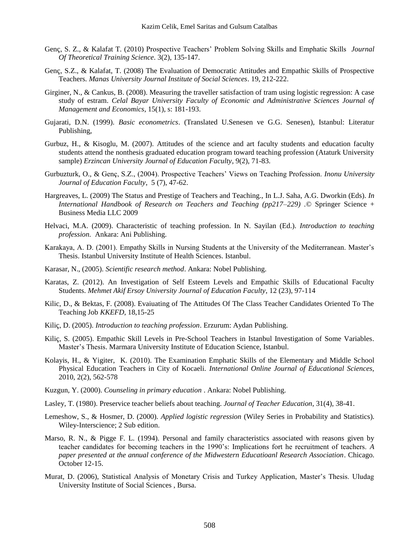- Genç, S. Z., & Kalafat T. (2010) Prospective Teachers' Problem Solving Skills and Emphatic Skills *Journal Of Theoretical Training Science*. 3(2), 135-147.
- Genç, S.Z., & Kalafat, T. (2008) The Evaluation of Democratic Attitudes and Empathic Skills of Prospective Teachers. *Manas University Journal Institute of Social Sciences*. 19, 212-222.
- Girginer, N., & Cankus, B. (2008). Measuring the traveller satisfaction of tram using logistic regression: A case study of estram. *Celal Bayar University Faculty of Economic and Administrative Sciences Journal of Management and Economics*, 15(1), s: 181-193.
- Gujarati, D.N. (1999). *Basic econometrics*. (Translated U.Senesen ve G.G. Senesen), Istanbul: Literatur Publishing,
- Gurbuz, H., & Kisoglu, M. (2007). Attitudes of the science and art faculty students and education faculty students attend the nonthesis graduated education program toward teaching profession (Ataturk University sample) *Erzincan University Journal of Education Faculty*, 9(2), 71-83.
- Gurbuzturk, O., & Genç, S.Z., (2004). Prospective Teachers' Views on Teaching Profession. *Inonu University Journal of Education Faculty*, 5 (7), 47-62.
- Hargreaves, L. (2009) The Status and Prestige of Teachers and Teaching., In L.J. Saha, A.G. Dworkin (Eds). *In International Handbook of Research on Teachers and Teaching (pp217–229) .*© Springer Science + Business Media LLC 2009
- Helvaci, M.A. (2009). Characteristic of teaching profession. In N. Sayilan (Ed.). *Introduction to teaching profession.* Ankara: Ani Publishing.
- Karakaya, A. D. (2001). Empathy Skills in Nursing Students at the University of the Mediterranean. Master's Thesis. Istanbul University Institute of Health Sciences. Istanbul.
- Karasar, N., (2005). *Scientific research method*. Ankara: Nobel Publishing.
- Karatas, Z. (2012). An Investigation of Self Esteem Levels and Empathic Skills of Educational Faculty Students. *Mehmet Akif Ersoy University Journal of Education Faculty*, 12 (23), 97-114
- Kilic, D., & Bektas, F. (2008). Evaiuating of The Attitudes Of The Class Teacher Candidates Oriented To The Teaching Job *KKEFD*, 18,15-25
- Kiliç, D. (2005). *Introduction to teaching profession*. Erzurum: Aydan Publishing.
- Kiliç, S. (2005). Empathic Skill Levels in Pre-School Teachers in Istanbul Investigation of Some Variables. Master's Thesis. Marmara University Institute of Education Science, Istanbul.
- Kolayis, H., & Yigiter, K. (2010). The Examination Emphatic Skills of the Elementary and Middle School Physical Education Teachers in City of Kocaeli. *International Online Journal of Educational Sciences,* 2010, 2(2), 562-578
- Kuzgun, Y. (2000). *Counseling in primary education* . Ankara: Nobel Publishing.
- Lasley, T. (1980). Preservice teacher beliefs about teaching. *Journal of Teacher Education*, 31(4), 38-41.
- Lemeshow, S., & Hosmer, D. (2000). *Applied logistic regression* (Wiley Series in Probability and Statistics). Wiley-Interscience; 2 Sub edition.
- Marso, R. N., & Pigge F. L. (1994). Personal and family characteristics associated with reasons given by teacher candidates for becoming teachers in the 1990's: Implications fort he recruitment of teachers. *A paper presented at the annual conference of the Midwestern Educatioanl Research Association*. Chicago. October 12-15.
- Murat, D. (2006), Statistical Analysis of Monetary Crisis and Turkey Application, Master's Thesis. Uludag University Institute of Social Sciences , Bursa.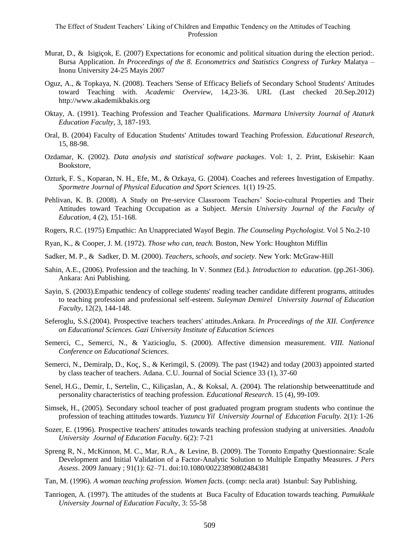- Murat, D., & Isigiçok, E. (2007) Expectations for economic and political situation during the election period:. Bursa Application. *In Proceedings of the 8. Econometrics and Statistics Congress of Turkey* Malatya – Inonu University 24-25 Mayis 2007
- Oguz, A., & Topkaya, N. (2008). Teachers 'Sense of Efficacy Beliefs of Secondary School Students' Attitudes toward Teaching with*. Academic Overview,* 14,23-36. URL (Last checked 20.Sep.2012) [http://www.akademikbakis.org](http://www.akademikbakis.org/)
- Oktay, A. (1991). Teaching Profession and Teacher Qualifications. *Marmara University Journal of Ataturk Education Faculty*, 3, 187-193.
- Oral, B. (2004) Faculty of Education Students' Attitudes toward Teaching Profession. *Educational Research*, 15, 88-98.
- Ozdamar, K. (2002). *Data analysis and statistical software packages*. Vol: 1, 2. Print, Eskisehir: Kaan Bookstore,
- Ozturk, F. S., Koparan, N. H., Efe, M., & Ozkaya, G. (2004). Coaches and referees Investigation of Empathy. *Spormetre Journal of Physical Education and Sport Sciences.* 1(1) 19-25.
- Pehlivan, K. B. (2008). A Study on Pre-service Classroom Teachers' Socio-cultural Properties and Their Attitudes toward Teaching Occupation as a Subject. *Mersin University Journal of the Faculty of Education*, 4 (2), 151-168.
- Rogers, R.C. (1975) Empathic: An Unappreciated Wayof Begin*. The Counseling Psychologist.* Vol 5 No.2-10
- Ryan, K., & Cooper, J. M. (1972). *Those who can, teach.* Boston, New York: Houghton Mifflin
- Sadker, M. P., & Sadker, D. M. (2000). *Teachers, schools, and society*. New York: McGraw-Hill
- Sahin, A.E., (2006). Profession and the teaching. In V. Sonmez (Ed.). *Introduction to education*. (pp.261-306). Ankara: Ani Publishing.
- Sayin, S. (2003).Empathic tendency of college students' reading teacher candidate different programs, attitudes to teaching profession and professional self-esteem. *Suleyman Demirel University Journal of Education Faculty*, 12(2), 144-148.
- Seferoglu, S.S.(2004). Prospective teachers teachers' attitudes.Ankara. *In Proceedings of the XII. Conference on Educational Sciences. Gazi University Institute of Education Sciences*
- Semerci, C., Semerci, N., & Yazicioglu, S. (2000). Affective dimension measurement. *VIII. National Conference on Educational Sciences*.
- Semerci, N., Demiralp, D., Koç, S., & Kerimgil, S. (2009). The past (1942) and today (2003) appointed started by class teacher of teachers. Adana. C.U. Journal of Social Science 33 (1), 37-60
- Senel, H.G., Demir, I., Sertelin, C., Kiliçaslan, A., & Koksal, A. (2004). The relationship betweenattitude and personality characteristics of teaching profession. *Educational Research*. 15 (4), 99-109.
- Simsek, H., (2005). Secondary school teacher of post graduated program program students who continue the profession of teaching attitudes towards. *Yuzuncu Yil University Journal of Education Faculty.* 2(1): 1-26
- Sozer, E. (1996). Prospective teachers' attitudes towards teaching profession studying at universities. *Anadolu University Journal of Education Faculty*. 6(2): 7-21
- Spreng R, N., McKinnon, M. C., Mar, R.A., & Levine, B. (2009). The Toronto Empathy Questionnaire: Scale Development and Initial Validation of a Factor-Analytic Solution to Multiple Empathy Measures. *J Pers Assess*. 2009 January ; 91(1): 62–71. doi:10.1080/00223890802484381
- Tan, M. (1996). *A woman teaching profession. Women facts*. (comp: necla arat) Istanbul: Say Publishing.
- Tanriogen, A. (1997). The attitudes of the students at Buca Faculty of Education towards teaching. *Pamukkale University Journal of Education Faculty*, 3: 55-58